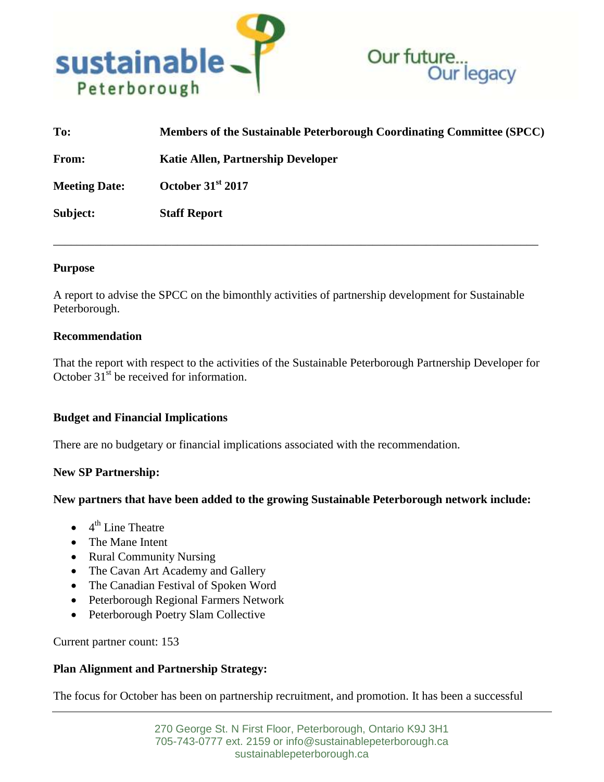



| To:                  | Members of the Sustainable Peterborough Coordinating Committee (SPCC) |
|----------------------|-----------------------------------------------------------------------|
| From:                | <b>Katie Allen, Partnership Developer</b>                             |
| <b>Meeting Date:</b> | October 31 <sup>st</sup> 2017                                         |
| Subject:             | <b>Staff Report</b>                                                   |

\_\_\_\_\_\_\_\_\_\_\_\_\_\_\_\_\_\_\_\_\_\_\_\_\_\_\_\_\_\_\_\_\_\_\_\_\_\_\_\_\_\_\_\_\_\_\_\_\_\_\_\_\_\_\_\_\_\_\_\_\_\_\_\_\_\_\_\_\_\_\_\_\_\_\_\_\_\_\_\_\_\_

## **Purpose**

A report to advise the SPCC on the bimonthly activities of partnership development for Sustainable Peterborough.

## **Recommendation**

That the report with respect to the activities of the Sustainable Peterborough Partnership Developer for October  $31^{\text{st}}$  be received for information.

# **Budget and Financial Implications**

There are no budgetary or financial implications associated with the recommendation.

# **New SP Partnership:**

#### **New partners that have been added to the growing Sustainable Peterborough network include:**

- $\bullet$  4<sup>th</sup> Line Theatre
- The Mane Intent
- Rural Community Nursing
- The Cavan Art Academy and Gallery
- The Canadian Festival of Spoken Word
- Peterborough Regional Farmers Network
- Peterborough Poetry Slam Collective

Current partner count: 153

# **Plan Alignment and Partnership Strategy:**

The focus for October has been on partnership recruitment, and promotion. It has been a successful